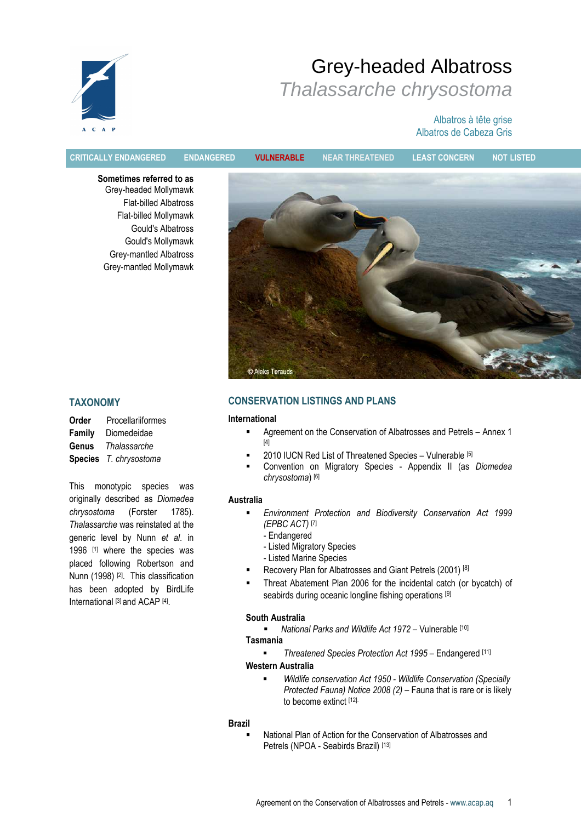

# Grey-headed Albatross Thalassarche chrysostoma

# Albatros à tête grise Albatros de Cabeza Gris

CRITICALLY ENDANGERED ENDANGERED VULNERABLE NEAR THREATENED LEAST CONCERN NOT LISTED

Sometimes referred to as Grey-headed Mollymawk Flat-billed Albatross Flat-billed Mollymawk Gould's Albatross Gould's Mollymawk Grey-mantled Albatross Grey-mantled Mollymawk



# TAXONOMY

| Order  | Procellariiformes      |  |  |  |  |
|--------|------------------------|--|--|--|--|
| Family | Diomedeidae            |  |  |  |  |
| Genus  | Thalassarche           |  |  |  |  |
|        | Species T. chrysostoma |  |  |  |  |

This monotypic species was originally described as Diomedea chrysostoma (Forster 1785). Thalassarche was reinstated at the generic level by Nunn et al. in 1996 [1] where the species was placed following Robertson and Nunn (1998) [2]. This classification has been adopted by BirdLife International [3] and ACAP [4].

# CONSERVATION LISTINGS AND PLANS

#### International

- Agreement on the Conservation of Albatrosses and Petrels Annex 1  $[4]$
- 2010 IUCN Red List of Threatened Species Vulnerable [5]
- Convention on Migratory Species Appendix II (as Diomedea chrysostoma) [6]

#### Australia

- Environment Protection and Biodiversity Conservation Act 1999 (EPBC ACT) [7]
	- Endangered
	- Listed Migratory Species
	- Listed Marine Species
- Recovery Plan for Albatrosses and Giant Petrels (2001) [8]
- Threat Abatement Plan 2006 for the incidental catch (or bycatch) of seabirds during oceanic longline fishing operations [9]

# South Australia

• National Parks and Wildlife Act 1972 – Vulnerable [10]

# Tasmania

**Fact Threatened Species Protection Act 1995 – Endangered** [11]

# Western Australia

 Wildlife conservation Act 1950 - Wildlife Conservation (Specially Protected Fauna) Notice 2008 (2) – Fauna that is rare or is likely to become extinct [12].

#### Brazil

 National Plan of Action for the Conservation of Albatrosses and Petrels (NPOA - Seabirds Brazil) [13]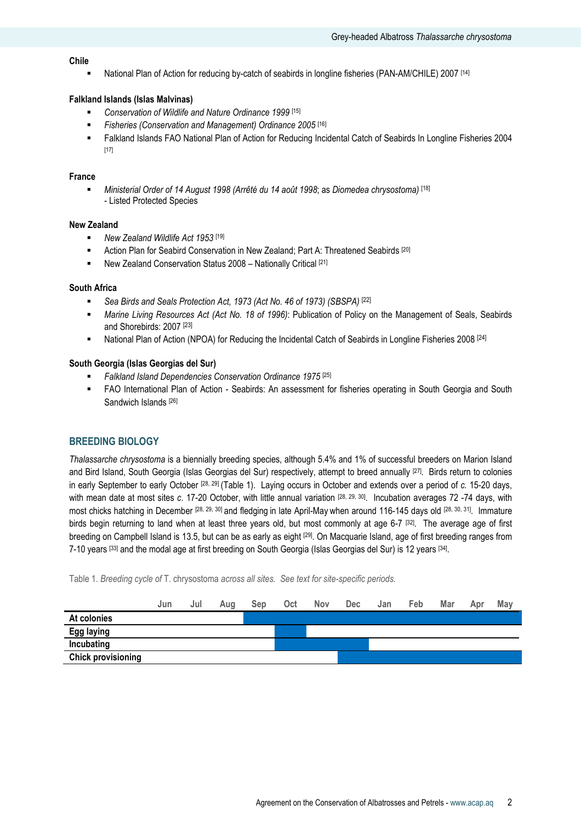# Chile

National Plan of Action for reducing by-catch of seabirds in longline fisheries (PAN-AM/CHILE) 2007 [14]

# Falkland Islands (Islas Malvinas)

- **Conservation of Wildlife and Nature Ordinance 1999** [15]
- Fisheries (Conservation and Management) Ordinance 2005 [16]
- Falkland Islands FAO National Plan of Action for Reducing Incidental Catch of Seabirds In Longline Fisheries 2004 [17]

#### France

Ministerial Order of 14 August 1998 (Arrêté du 14 août 1998; as Diomedea chrysostoma) [18] - Listed Protected Species

#### New Zealand

- New Zealand Wildlife Act 1953<sup>[19]</sup>
- **Action Plan for Seabird Conservation in New Zealand; Part A: Threatened Seabirds [20]**
- New Zealand Conservation Status 2008 Nationally Critical [21]

#### South Africa

- Sea Birds and Seals Protection Act, 1973 (Act No. 46 of 1973) (SBSPA) [22]
- Marine Living Resources Act (Act No. 18 of 1996): Publication of Policy on the Management of Seals, Seabirds and Shorebirds: 2007 [23]
- **National Plan of Action (NPOA) for Reducing the Incidental Catch of Seabirds in Longline Fisheries 2008** [24]

#### South Georgia (Islas Georgias del Sur)

- Falkland Island Dependencies Conservation Ordinance 1975 [25]
- FAO International Plan of Action Seabirds: An assessment for fisheries operating in South Georgia and South Sandwich Islands [26]

# BREEDING BIOLOGY

Thalassarche chrysostoma is a biennially breeding species, although 5.4% and 1% of successful breeders on Marion Island and Bird Island, South Georgia (Islas Georgias del Sur) respectively, attempt to breed annually [27]. Birds return to colonies in early September to early October [28, 29] (Table 1). Laying occurs in October and extends over a period of c. 15-20 days, with mean date at most sites c. 17-20 October, with little annual variation [28, 29, 30]. Incubation averages 72 -74 days, with most chicks hatching in December [28, 29, 30] and fledging in late April-May when around 116-145 days old [28, 30, 31]. Immature birds begin returning to land when at least three years old, but most commonly at age 6-7 [32]. The average age of first breeding on Campbell Island is 13.5, but can be as early as eight [29]. On Macquarie Island, age of first breeding ranges from 7-10 years <sup>[33]</sup> and the modal age at first breeding on South Georgia (Islas Georgias del Sur) is 12 years <sup>[34]</sup>.

Table 1. Breeding cycle of T. chrysostoma across all sites. See text for site-specific periods.

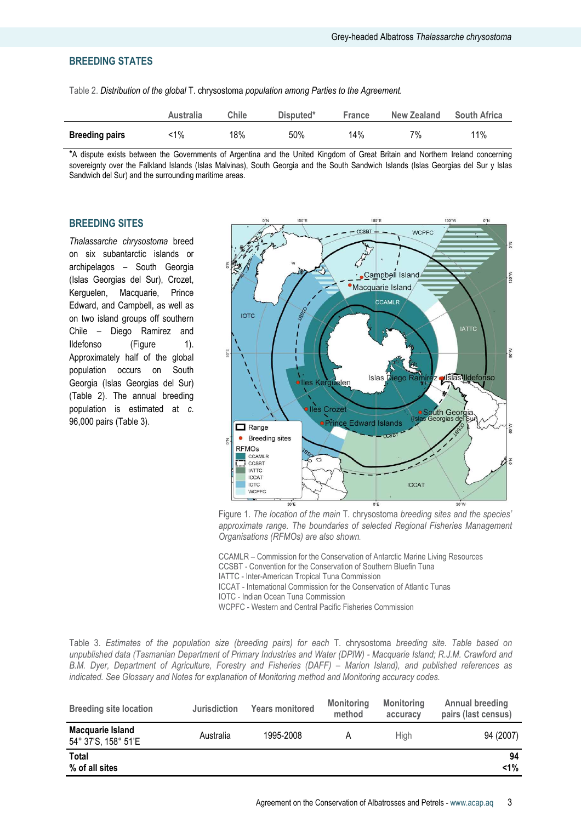# BREEDING STATES

Table 2. Distribution of the global T. chrysostoma population among Parties to the Agreement.

|                       | Australia | Chile | Disputed* | <b>France</b> | <b>New Zealand</b> | <b>South Africa</b> |
|-----------------------|-----------|-------|-----------|---------------|--------------------|---------------------|
| <b>Breeding pairs</b> | 1%∵       | 18%   | 50%       | 14%           | 7%                 | 11%                 |

\*A dispute exists between the Governments of Argentina and the United Kingdom of Great Britain and Northern Ireland concerning sovereignty over the Falkland Islands (Islas Malvinas), South Georgia and the South Sandwich Islands (Islas Georgias del Sur y Islas Sandwich del Sur) and the surrounding maritime areas.

## BREEDING SITES

Thalassarche chrysostoma breed on six subantarctic islands or archipelagos – South Georgia (Islas Georgias del Sur), Crozet, Kerguelen, Macquarie, Prince Edward, and Campbell, as well as on two island groups off southern Chile – Diego Ramirez and Ildefonso (Figure 1). Approximately half of the global population occurs on South Georgia (Islas Georgias del Sur) (Table 2). The annual breeding population is estimated at c. 96,000 pairs (Table 3).



Figure 1. The location of the main T. chrysostoma breeding sites and the species' approximate range. The boundaries of selected Regional Fisheries Management Organisations (RFMOs) are also shown.

CCAMLR – Commission for the Conservation of Antarctic Marine Living Resources CCSBT - Convention for the Conservation of Southern Bluefin Tuna

IATTC - Inter-American Tropical Tuna Commission

ICCAT - International Commission for the Conservation of Atlantic Tunas

IOTC - Indian Ocean Tuna Commission

WCPFC - Western and Central Pacific Fisheries Commission

Table 3. Estimates of the population size (breeding pairs) for each T. chrysostoma breeding site. Table based on unpublished data (Tasmanian Department of Primary Industries and Water (DPIW) - Macquarie Island; R.J.M. Crawford and B.M. Dyer, Department of Agriculture, Forestry and Fisheries (DAFF) – Marion Island), and published references as indicated. See Glossary and Notes for explanation of Monitoring method and Monitoring accuracy codes.

| <b>Breeding site location</b>           | <b>Jurisdiction</b> | <b>Years monitored</b> | <b>Monitoring</b><br>method | <b>Monitoring</b><br>accuracy | <b>Annual breeding</b><br>pairs (last census) |
|-----------------------------------------|---------------------|------------------------|-----------------------------|-------------------------------|-----------------------------------------------|
| Macquarie Island<br>54° 37'S, 158° 51'E | Australia           | 1995-2008              |                             | <b>High</b>                   | 94 (2007)                                     |
| Total<br>% of all sites                 |                     |                        |                             |                               | 94<br>$< 1\%$                                 |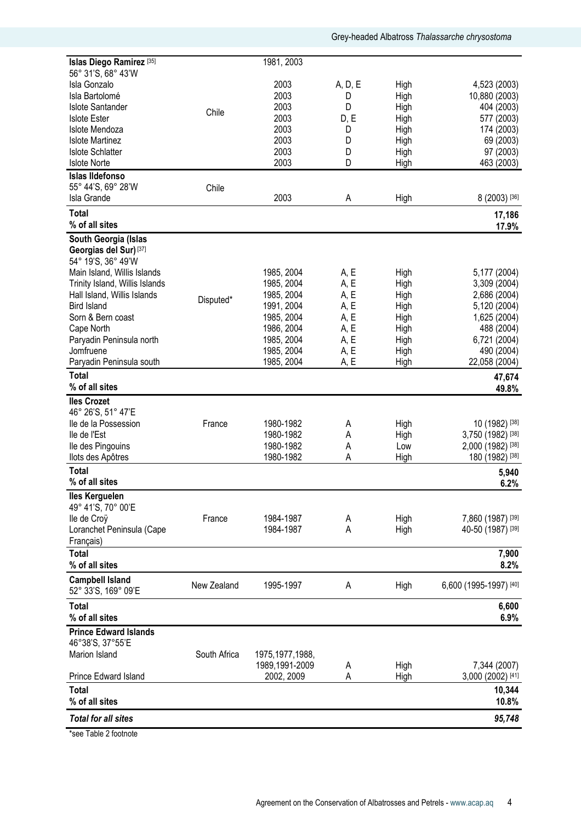| Islas Diego Ramirez <sup>[35]</sup>                     |              | 1981, 2003        |              |              |                               |
|---------------------------------------------------------|--------------|-------------------|--------------|--------------|-------------------------------|
| 56° 31'S, 68° 43'W                                      |              |                   |              |              |                               |
| Isla Gonzalo<br>Isla Bartolomé                          |              | 2003<br>2003      | A, D, E<br>D | High<br>High | 4,523 (2003)<br>10,880 (2003) |
| <b>Islote Santander</b>                                 |              | 2003              | D            | High         | 404 (2003)                    |
| <b>Islote Ester</b>                                     | Chile        | 2003              | D, E         | High         | 577 (2003)                    |
| Islote Mendoza                                          |              | 2003              | D            | High         | 174 (2003)                    |
| <b>Islote Martinez</b>                                  |              | 2003              | D            | High         | 69 (2003)                     |
| <b>Islote Schlatter</b>                                 |              | 2003              | D            | High         | 97 (2003)                     |
| <b>Islote Norte</b>                                     |              | 2003              | D            | High         | 463 (2003)                    |
| <b>Islas Ildefonso</b>                                  |              |                   |              |              |                               |
| 55° 44'S, 69° 28'W                                      | Chile        |                   |              |              |                               |
| Isla Grande                                             |              | 2003              | A            | High         | 8 (2003) [36]                 |
| <b>Total</b>                                            |              |                   |              |              | 17,186                        |
| % of all sites                                          |              |                   |              |              | 17.9%                         |
| South Georgia (Islas                                    |              |                   |              |              |                               |
| Georgias del Sur) <sup>[37]</sup><br>54° 19'S, 36° 49'W |              |                   |              |              |                               |
| Main Island, Willis Islands                             |              | 1985, 2004        | A, E         | High         | 5,177 (2004)                  |
| Trinity Island, Willis Islands                          |              | 1985, 2004        | A, E         | High         | 3,309 (2004)                  |
| Hall Island, Willis Islands                             |              | 1985, 2004        | A, E         | High         | 2,686 (2004)                  |
| <b>Bird Island</b>                                      | Disputed*    | 1991, 2004        | A, E         | High         | 5,120 (2004)                  |
| Sorn & Bern coast                                       |              | 1985, 2004        | A, E         | High         | 1,625 (2004)                  |
| Cape North                                              |              | 1986, 2004        | A, E         | High         | 488 (2004)                    |
| Paryadin Peninsula north                                |              | 1985, 2004        | A, E         | High         | 6,721 (2004)                  |
| Jomfruene                                               |              | 1985, 2004        | A, E         | High         | 490 (2004)                    |
| Paryadin Peninsula south                                |              | 1985, 2004        | A, E         | High         | 22,058 (2004)                 |
| <b>Total</b>                                            |              |                   |              |              | 47,674                        |
| % of all sites                                          |              |                   |              |              | 49.8%                         |
| <b>Iles Crozet</b>                                      |              |                   |              |              |                               |
| 46° 26'S, 51° 47'E                                      |              |                   |              |              |                               |
| lle de la Possession                                    | France       | 1980-1982         | A            | High         | 10 (1982) [38]                |
| lle de l'Est                                            |              | 1980-1982         | Α            | High         | 3,750 (1982) [38]             |
| Ile des Pingouins                                       |              | 1980-1982         | А            | Low          | 2,000 (1982) [38]             |
| llots des Apôtres                                       |              | 1980-1982         | A            | High         | 180 (1982) [38]               |
| <b>Total</b>                                            |              |                   |              |              | 5,940                         |
| % of all sites                                          |              |                   |              |              | 6.2%                          |
| <b>Iles Kerguelen</b><br>49° 41'S, 70° 00'E             |              |                   |              |              |                               |
| lle de Croÿ                                             | France       | 1984-1987         | А            | High         | 7,860 (1987) [39]             |
| Loranchet Peninsula (Cape                               |              | 1984-1987         | А            | High         | 40-50 (1987) [39]             |
| Français)                                               |              |                   |              |              |                               |
| <b>Total</b>                                            |              |                   |              |              | 7,900                         |
| % of all sites                                          |              |                   |              |              | 8.2%                          |
| <b>Campbell Island</b>                                  |              |                   |              |              |                               |
| 52° 33'S, 169° 09'E                                     | New Zealand  | 1995-1997         | А            | High         | 6,600 (1995-1997) [40]        |
| <b>Total</b>                                            |              |                   |              |              | 6,600                         |
| % of all sites                                          |              |                   |              |              | 6.9%                          |
| <b>Prince Edward Islands</b>                            |              |                   |              |              |                               |
| 46°38'S, 37°55'E                                        |              |                   |              |              |                               |
| Marion Island                                           | South Africa | 1975, 1977, 1988, |              |              |                               |
|                                                         |              | 1989,1991-2009    | А            | High         | 7,344 (2007)                  |
| Prince Edward Island                                    |              | 2002, 2009        | A            | High         | 3,000 (2002) [41]             |
| <b>Total</b>                                            |              |                   |              |              | 10,344                        |
| % of all sites                                          |              |                   |              |              | 10.8%                         |
| <b>Total for all sites</b>                              |              |                   |              |              | 95,748                        |
|                                                         |              |                   |              |              |                               |

\*see Table 2 footnote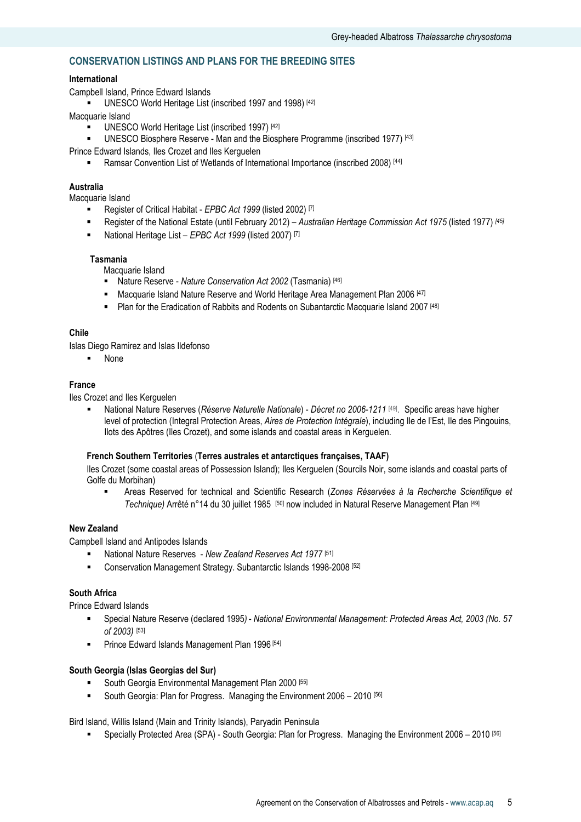# CONSERVATION LISTINGS AND PLANS FOR THE BREEDING SITES

# International

Campbell Island, Prince Edward Islands

UNESCO World Heritage List (inscribed 1997 and 1998) [42]

- Macquarie Island
	- UNESCO World Heritage List (inscribed 1997) [42]
	- UNESCO Biosphere Reserve Man and the Biosphere Programme (inscribed 1977) [43]
- Prince Edward Islands, Iles Crozet and Iles Kerguelen
	- **EXECT** Ramsar Convention List of Wetlands of International Importance (inscribed 2008) [44]

# Australia

Macquarie Island

- Register of Critical Habitat  $E PBC$  Act 1999 (listed 2002) [7]
- Register of the National Estate (until February 2012) Australian Heritage Commission Act 1975 (listed 1977) [45]
- National Heritage List  $E PBC$  Act 1999 (listed 2007) [7]

#### Tasmania

Macquarie Island

- Nature Reserve Nature Conservation Act 2002 (Tasmania) [46]
- Macquarie Island Nature Reserve and World Heritage Area Management Plan 2006 [47]
- **Plan for the Eradication of Rabbits and Rodents on Subantarctic Macquarie Island 2007** [48]

#### Chile

Islas Diego Ramirez and Islas Ildefonso

None

## France

Iles Crozet and Iles Kerguelen

• National Nature Reserves (Réserve Naturelle Nationale) - Décret no 2006-1211<sup>[49]</sup>. Specific areas have higher level of protection (Integral Protection Areas, Aires de Protection Intégrale), including Ile de l'Est, Ile des Pingouins, Ilots des Apôtres (Iles Crozet), and some islands and coastal areas in Kerguelen.

#### French Southern Territories (Terres australes et antarctiques françaises, TAAF)

Iles Crozet (some coastal areas of Possession Island); Iles Kerguelen (Sourcils Noir, some islands and coastal parts of Golfe du Morbihan)

 Areas Reserved for technical and Scientific Research (Zones Réservées à la Recherche Scientifique et Technique) Arrêté n°14 du 30 juillet 1985 [50] now included in Natural Reserve Management Plan [49]

#### New Zealand

Campbell Island and Antipodes Islands

- National Nature Reserves New Zealand Reserves Act 1977 [51]
- Conservation Management Strategy. Subantarctic Islands 1998-2008 [52]

# South Africa

Prince Edward Islands

- Special Nature Reserve (declared 1995) National Environmental Management: Protected Areas Act, 2003 (No. 57 of 2003) [53]
- **Prince Edward Islands Management Plan 1996** [54]

#### South Georgia (Islas Georgias del Sur)

- South Georgia Environmental Management Plan 2000 [55]
- South Georgia: Plan for Progress. Managing the Environment 2006 2010 [56]

Bird Island, Willis Island (Main and Trinity Islands), Paryadin Peninsula

Specially Protected Area (SPA) - South Georgia: Plan for Progress. Managing the Environment 2006 – 2010 [56]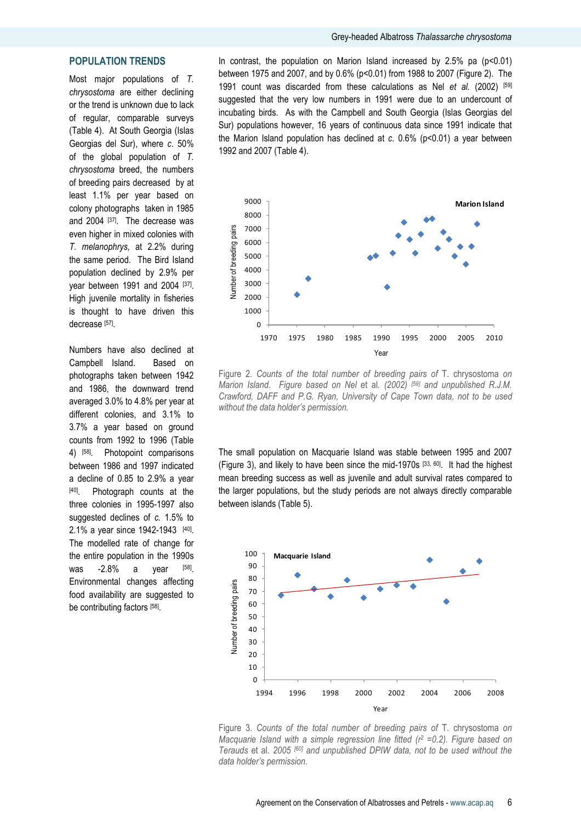# POPULATION TRENDS

Most major populations of T. chrysostoma are either declining or the trend is unknown due to lack of regular, comparable surveys (Table 4). At South Georgia (Islas Georgias del Sur), where c. 50% of the global population of T. chrysostoma breed, the numbers of breeding pairs decreased by at least 1.1% per year based on colony photographs taken in 1985 and 2004 [37]. The decrease was even higher in mixed colonies with T. melanophrys, at 2.2% during the same period. The Bird Island population declined by 2.9% per year between 1991 and 2004 [37]. High juvenile mortality in fisheries is thought to have driven this decrease [57].

Numbers have also declined at Campbell Island. Based on photographs taken between 1942 and 1986, the downward trend averaged 3.0% to 4.8% per year at different colonies, and 3.1% to 3.7% a year based on ground counts from 1992 to 1996 (Table 4) [58]. Photopoint comparisons between 1986 and 1997 indicated a decline of 0.85 to 2.9% a year [40]. Photograph counts at the three colonies in 1995-1997 also suggested declines of c. 1.5% to 2.1% a year since 1942-1943 [40]. The modelled rate of change for the entire population in the 1990s was  $-2.8\%$  a year [58] Environmental changes affecting food availability are suggested to be contributing factors [58].

In contrast, the population on Marion Island increased by  $2.5\%$  pa ( $p<0.01$ ) between 1975 and 2007, and by 0.6% (p<0.01) from 1988 to 2007 (Figure 2). The 1991 count was discarded from these calculations as Nel et al. (2002)  $[59]$ suggested that the very low numbers in 1991 were due to an undercount of incubating birds. As with the Campbell and South Georgia (Islas Georgias del Sur) populations however, 16 years of continuous data since 1991 indicate that the Marion Island population has declined at  $c$ . 0.6% ( $p$ <0.01) a year between 1992 and 2007 (Table 4).



Figure 2. Counts of the total number of breeding pairs of T. chrysostoma on Marion Island. Figure based on Nel et al. (2002) [59] and unpublished R.J.M. Crawford, DAFF and P.G. Ryan, University of Cape Town data, not to be used without the data holder's permission.

The small population on Macquarie Island was stable between 1995 and 2007 (Figure 3), and likely to have been since the mid-1970s [33, 60]. It had the highest mean breeding success as well as juvenile and adult survival rates compared to the larger populations, but the study periods are not always directly comparable between islands (Table 5).



Figure 3. Counts of the total number of breeding pairs of T. chrysostoma on Macquarie Island with a simple regression line fitted  $(r^2 = 0.2)$ . Figure based on Terauds et al. 2005 [60] and unpublished DPIW data, not to be used without the data holder's permission.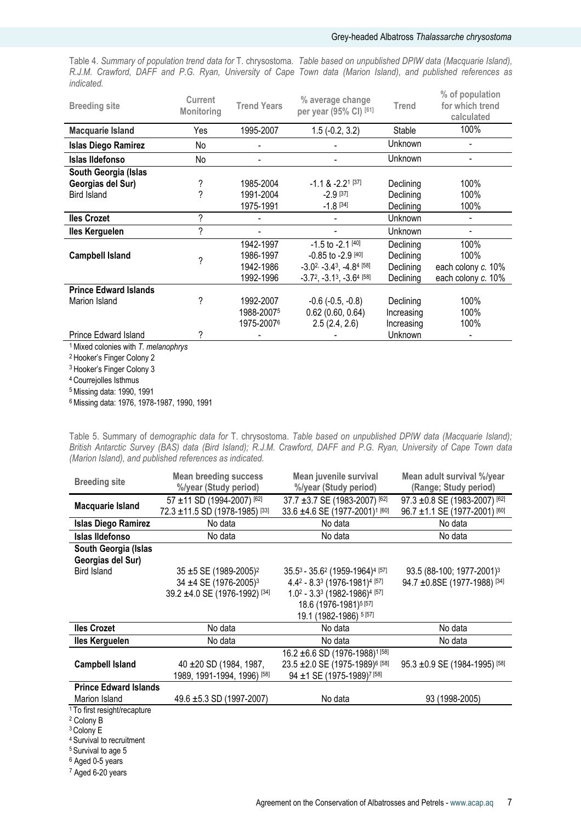# Grey-headed Albatross Thalassarche chrysostoma

Table 4. Summary of population trend data for T. chrysostoma. Table based on unpublished DPIW data (Macquarie Island), R.J.M. Crawford, DAFF and P.G. Ryan, University of Cape Town data (Marion Island), and published references as indicated.

| <b>Breeding site</b>         | Current<br>Monitoring | <b>Trend Years</b>     | % average change<br>per year (95% CI) [61]                         | <b>Trend</b> | % of population<br>for which trend<br>calculated |
|------------------------------|-----------------------|------------------------|--------------------------------------------------------------------|--------------|--------------------------------------------------|
| <b>Macquarie Island</b>      | Yes                   | 1995-2007              | $1.5(-0.2, 3.2)$                                                   | Stable       | 100%                                             |
| <b>Islas Diego Ramirez</b>   | No                    |                        |                                                                    | Unknown      |                                                  |
| Islas Ildefonso              | No                    | $\overline{a}$         |                                                                    | Unknown      |                                                  |
| South Georgia (Islas         |                       |                        |                                                                    |              |                                                  |
| Georgias del Sur)            | ?                     | 1985-2004              | $-1.18 - 2.21$ [37]                                                | Declining    | 100%                                             |
| <b>Bird Island</b>           | ?                     | 1991-2004              | $-2.9$ [37]                                                        | Declining    | 100%                                             |
|                              |                       | 1975-1991              | $-1.8$ [34]                                                        | Declining    | 100%                                             |
| <b>Iles Crozet</b>           | ?                     |                        |                                                                    | Unknown      |                                                  |
| <b>Iles Kerguelen</b>        | ?                     |                        |                                                                    | Unknown      |                                                  |
|                              |                       | 1942-1997              | $-1.5$ to $-2.1$ [40]                                              | Declining    | 100%                                             |
| <b>Campbell Island</b>       | ?                     | 1986-1997              | $-0.85$ to $-2.9$ [40]                                             | Declining    | 100%                                             |
|                              |                       | 1942-1986              | $-3.0$ <sup>2,</sup> $-3.4$ <sup>3</sup> , $-4.8$ <sup>4[58]</sup> | Declining    | each colony c. 10%                               |
|                              |                       | 1992-1996              | $-3.7^2$ , $-3.1^3$ , $-3.6^4$ [58]                                | Declining    | each colony c. 10%                               |
| <b>Prince Edward Islands</b> |                       |                        |                                                                    |              |                                                  |
| Marion Island                | ?                     | 1992-2007              | $-0.6$ ( $-0.5, -0.8$ )                                            | Declining    | 100%                                             |
|                              |                       | 1988-2007 <sup>5</sup> | 0.62(0.60, 0.64)                                                   | Increasing   | 100%                                             |
|                              |                       | 1975-20076             | 2.5(2.4, 2.6)                                                      | Increasing   | 100%                                             |
| <b>Prince Edward Island</b>  | ?                     |                        |                                                                    | Unknown      |                                                  |

 $1$  Mixed colonies with T. melanophrys

<sup>2</sup> Hooker's Finger Colony 2

<sup>3</sup> Hooker's Finger Colony 3

<sup>4</sup> Courrejolles Isthmus

<sup>5</sup>Missing data: 1990, 1991

<sup>6</sup>Missing data: 1976, 1978-1987, 1990, 1991

Table 5. Summary of demographic data for T. chrysostoma. Table based on unpublished DPIW data (Macquarie Island); British Antarctic Survey (BAS) data (Bird Island); R.J.M. Crawford, DAFF and P.G. Ryan, University of Cape Town data (Marion Island), and published references as indicated.

| <b>Breeding site</b>                    | <b>Mean breeding success</b>              | Mean juvenile survival                                              | Mean adult survival %/year            |
|-----------------------------------------|-------------------------------------------|---------------------------------------------------------------------|---------------------------------------|
|                                         | %/year (Study period)                     | %/year (Study period)                                               | (Range; Study period)                 |
| Macquarie Island                        | 57 ±11 SD (1994-2007) [62]                | 37.7 ±3.7 SE (1983-2007) [62]                                       | 97.3 ±0.8 SE (1983-2007) [62]         |
|                                         | 72.3 ±11.5 SD (1978-1985) <sup>[33]</sup> | 33.6 ±4.6 SE (1977-2001) <sup>1 [60]</sup>                          | 96.7 ±1.1 SE (1977-2001) [60]         |
| <b>Islas Diego Ramirez</b>              | No data                                   | No data                                                             | No data                               |
| <b>Islas Ildefonso</b>                  | No data                                   | No data                                                             | No data                               |
| South Georgia (Islas                    |                                           |                                                                     |                                       |
| Georgias del Sur)                       |                                           |                                                                     |                                       |
| <b>Bird Island</b>                      | 35 $\pm$ 5 SE (1989-2005) <sup>2</sup>    | 35.5 <sup>3</sup> - 35.6 <sup>2</sup> (1959-1964) <sup>4</sup> [57] | 93.5 (88-100; 1977-2001) <sup>3</sup> |
|                                         | 34 ±4 SE (1976-2005) <sup>3</sup>         | $4.4^2 - 8.3^3$ (1976-1981) <sup>4 [57]</sup>                       | 94.7 ±0.8SE (1977-1988) [34]          |
|                                         | 39.2 ±4.0 SE (1976-1992) [34]             | $1.02 - 3.33$ (1982-1986) <sup>4 [57]</sup>                         |                                       |
|                                         |                                           | 18.6 (1976-1981) <sup>5</sup> [57]                                  |                                       |
|                                         |                                           | 19.1 (1982-1986) 5 [57]                                             |                                       |
| <b>Iles Crozet</b>                      | No data                                   | No data                                                             | No data                               |
| lles Kerguelen                          | No data                                   | No data                                                             | No data                               |
|                                         |                                           | 16.2 ±6.6 SD (1976-1988) <sup>1 [58]</sup>                          |                                       |
| <b>Campbell Island</b>                  | 40 ± 20 SD (1984, 1987,                   | 23.5 ± 2.0 SE (1975-1989) <sup>6 [58]</sup>                         | 95.3 ±0.9 SE (1984-1995) [58]         |
|                                         | 1989, 1991-1994, 1996) [58]               | 94 ±1 SE (1975-1989) <sup>7 [58]</sup>                              |                                       |
| <b>Prince Edward Islands</b>            |                                           |                                                                     |                                       |
| Marion Island                           | 49.6 ±5.3 SD (1997-2007)                  | No data                                                             | 93 (1998-2005)                        |
| <sup>1</sup> To first resight/recapture |                                           |                                                                     |                                       |
| <sup>2</sup> Colony B                   |                                           |                                                                     |                                       |
| <sup>3</sup> Colony E                   |                                           |                                                                     |                                       |
| <sup>4</sup> Survival to recruitment    |                                           |                                                                     |                                       |
| <sup>5</sup> Survival to age 5          |                                           |                                                                     |                                       |

<sup>6</sup> Aged 0-5 years

7 Aged 6-20 years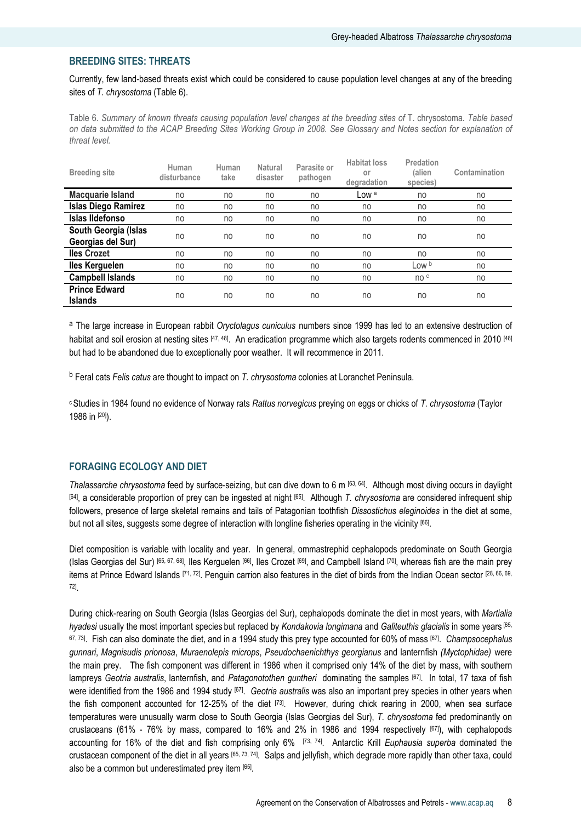# BREEDING SITES: THREATS

Currently, few land-based threats exist which could be considered to cause population level changes at any of the breeding sites of T. chrysostoma (Table 6).

Table 6. Summary of known threats causing population level changes at the breeding sites of T. chrysostoma. Table based on data submitted to the ACAP Breeding Sites Working Group in 2008. See Glossary and Notes section for explanation of threat level.

| <b>Breeding site</b>                      | Human<br>disturbance | Human<br>take | <b>Natural</b><br>disaster | Parasite or<br>pathogen | <b>Habitat loss</b><br>or<br>degradation | Predation<br>(alien<br>species) | Contamination |
|-------------------------------------------|----------------------|---------------|----------------------------|-------------------------|------------------------------------------|---------------------------------|---------------|
| Macquarie Island                          | no                   | no            | no                         | no                      | Low a                                    | no                              | no            |
| <b>Islas Diego Ramirez</b>                | no                   | no            | no                         | no                      | no                                       | no                              | no            |
| Islas Ildefonso                           | no                   | no            | no                         | no                      | no                                       | no                              | no            |
| South Georgia (Islas<br>Georgias del Sur) | no                   | no            | no                         | no                      | no                                       | no                              | no            |
| <b>Iles Crozet</b>                        | no                   | no            | no                         | no                      | no                                       | no                              | no            |
| <b>Iles Kerguelen</b>                     | no                   | no            | no                         | no                      | no                                       | Low b                           | no            |
| <b>Campbell Islands</b>                   | no                   | no            | no                         | no                      | no                                       | no c                            | no            |
| <b>Prince Edward</b><br><b>Islands</b>    | no                   | no            | no                         | no                      | no                                       | no                              | no            |

a The large increase in European rabbit Oryctolagus cuniculus numbers since 1999 has led to an extensive destruction of habitat and soil erosion at nesting sites [47, 48]. An eradication programme which also targets rodents commenced in 2010 [48] but had to be abandoned due to exceptionally poor weather. It will recommence in 2011.

<sup>b</sup> Feral cats Felis catus are thought to impact on T. chrysostoma colonies at Loranchet Peninsula.

<sup>c</sup> Studies in 1984 found no evidence of Norway rats Rattus norvegicus preying on eggs or chicks of T. chrysostoma (Taylor 1986 in [20]).

### FORAGING ECOLOGY AND DIET

Thalassarche chrysostoma feed by surface-seizing, but can dive down to 6 m  $[63, 64]$ . Although most diving occurs in daylight [64], a considerable proportion of prey can be ingested at night [65]. Although T. chrysostoma are considered infrequent ship followers, presence of large skeletal remains and tails of Patagonian toothfish Dissostichus eleginoides in the diet at some, but not all sites, suggests some degree of interaction with longline fisheries operating in the vicinity <sup>[66]</sup>.

Diet composition is variable with locality and year. In general, ommastrephid cephalopods predominate on South Georgia (Islas Georgias del Sur) [65, 67, 68], Iles Kerguelen [66], Iles Crozet [69], and Campbell Island [70], whereas fish are the main prey items at Prince Edward Islands [71, 72]. Penguin carrion also features in the diet of birds from the Indian Ocean sector [28, 66, 69, 72] .

During chick-rearing on South Georgia (Islas Georgias del Sur), cephalopods dominate the diet in most years, with Martialia hyadesi usually the most important species but replaced by Kondakovia longimana and Galiteuthis glacialis in some years [65, 67,73]. Fish can also dominate the diet, and in a 1994 study this prey type accounted for 60% of mass [67]. *Champsocephalus* gunnari, Magnisudis prionosa, Muraenolepis microps, Pseudochaenichthys georgianus and lanternfish (Myctophidae) were the main prey. The fish component was different in 1986 when it comprised only 14% of the diet by mass, with southern lampreys Geotria australis, lanternfish, and Patagonotothen guntheri dominating the samples [67]. In total, 17 taxa of fish were identified from the 1986 and 1994 study <sup>[67]</sup>. *Geotria australis* was also an important prey species in other years when the fish component accounted for 12-25% of the diet [73]. However, during chick rearing in 2000, when sea surface temperatures were unusually warm close to South Georgia (Islas Georgias del Sur), T. chrysostoma fed predominantly on crustaceans (61% - 76% by mass, compared to 16% and 2% in 1986 and 1994 respectively [67]), with cephalopods accounting for 16% of the diet and fish comprising only  $6\%$   $[73, 74]$ . Antarctic Krill Euphausia superba dominated the crustacean component of the diet in all years [65, 73, 74]. Salps and jellyfish, which degrade more rapidly than other taxa, could also be a common but underestimated prey item [65] .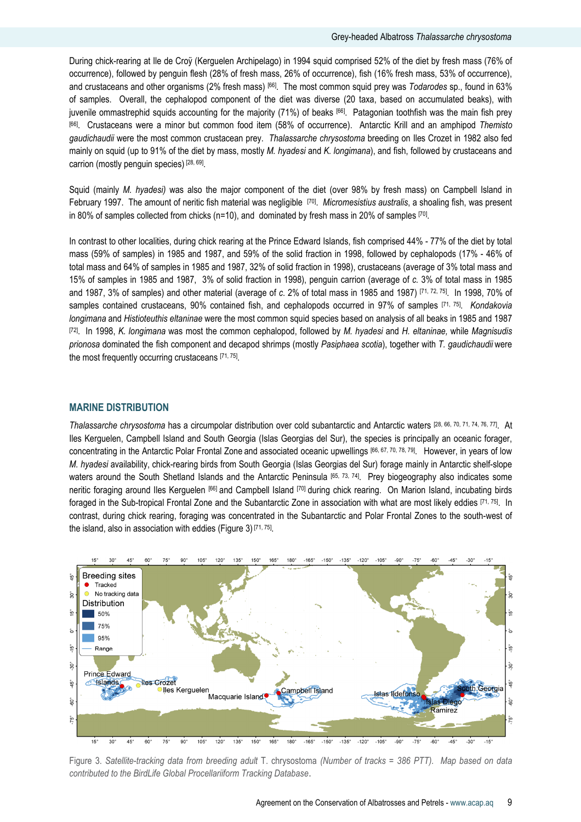During chick-rearing at Ile de Croÿ (Kerguelen Archipelago) in 1994 squid comprised 52% of the diet by fresh mass (76% of occurrence), followed by penguin flesh (28% of fresh mass, 26% of occurrence), fish (16% fresh mass, 53% of occurrence), and crustaceans and other organisms (2% fresh mass) [66]. The most common squid prey was Todarodes sp., found in 63% of samples. Overall, the cephalopod component of the diet was diverse (20 taxa, based on accumulated beaks), with juvenile ommastrephid squids accounting for the majority (71%) of beaks [66]. Patagonian toothfish was the main fish prey [66]. Crustaceans were a minor but common food item (58% of occurrence). Antarctic Krill and an amphipod Themisto gaudichaudii were the most common crustacean prey. Thalassarche chrysostoma breeding on Iles Crozet in 1982 also fed mainly on squid (up to 91% of the diet by mass, mostly M. hyadesi and K. longimana), and fish, followed by crustaceans and carrion (mostly penguin species)<sup>[28, 69]</sup>.

Squid (mainly M. hyadesi) was also the major component of the diet (over 98% by fresh mass) on Campbell Island in February 1997. The amount of neritic fish material was negligible [70]. Micromesistius australis, a shoaling fish, was present in 80% of samples collected from chicks (n=10), and dominated by fresh mass in 20% of samples [70].

In contrast to other localities, during chick rearing at the Prince Edward Islands, fish comprised 44% - 77% of the diet by total mass (59% of samples) in 1985 and 1987, and 59% of the solid fraction in 1998, followed by cephalopods (17% - 46% of total mass and 64% of samples in 1985 and 1987, 32% of solid fraction in 1998), crustaceans (average of 3% total mass and 15% of samples in 1985 and 1987, 3% of solid fraction in 1998), penguin carrion (average of c. 3% of total mass in 1985 and 1987, 3% of samples) and other material (average of c. 2% of total mass in 1985 and 1987) [71, 72, 75]. In 1998, 70% of samples contained crustaceans, 90% contained fish, and cephalopods occurred in 97% of samples [71, 75]. Kondakovia longimana and Histioteuthis eltaninae were the most common squid species based on analysis of all beaks in 1985 and 1987  $[72]$ . In 1998, K. longimana was most the common cephalopod, followed by M. hyadesi and H. eltaninae, while Magnisudis prionosa dominated the fish component and decapod shrimps (mostly Pasiphaea scotia), together with T. gaudichaudii were the most frequently occurring crustaceans [71, 75].

#### MARINE DISTRIBUTION

Thalassarche chrysostoma has a circumpolar distribution over cold subantarctic and Antarctic waters [28, 66, 70, 71, 74, 76, 77]. At Iles Kerguelen, Campbell Island and South Georgia (Islas Georgias del Sur), the species is principally an oceanic forager, concentrating in the Antarctic Polar Frontal Zone and associated oceanic upwellings [66, 67, 70, 78, 79] . However, in years of low M. hyadesi availability, chick-rearing birds from South Georgia (Islas Georgias del Sur) forage mainly in Antarctic shelf-slope waters around the South Shetland Islands and the Antarctic Peninsula [65, 73, 74]. Prey biogeography also indicates some neritic foraging around Iles Kerguelen [66] and Campbell Island [70] during chick rearing. On Marion Island, incubating birds foraged in the Sub-tropical Frontal Zone and the Subantarctic Zone in association with what are most likely eddies [71, 75]. In contrast, during chick rearing, foraging was concentrated in the Subantarctic and Polar Frontal Zones to the south-west of the island, also in association with eddies (Figure 3)<sup>[71, 75]</sup>.



Figure 3. Satellite-tracking data from breeding adult T. chrysostoma (Number of tracks = 386 PTT). Map based on data contributed to the BirdLife Global Procellariiform Tracking Database.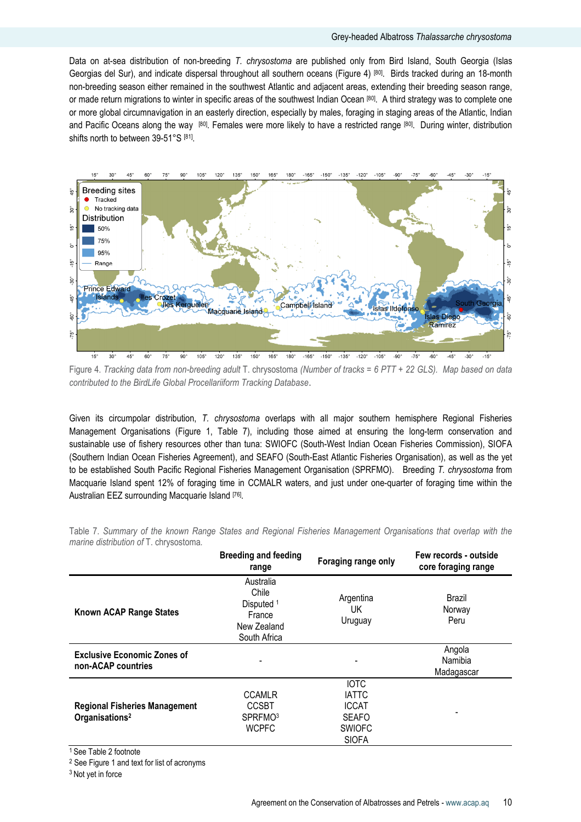Data on at-sea distribution of non-breeding T. chrysostoma are published only from Bird Island, South Georgia (Islas Georgias del Sur), and indicate dispersal throughout all southern oceans (Figure 4) [80]. Birds tracked during an 18-month non-breeding season either remained in the southwest Atlantic and adjacent areas, extending their breeding season range, or made return migrations to winter in specific areas of the southwest Indian Ocean [80]. A third strategy was to complete one or more global circumnavigation in an easterly direction, especially by males, foraging in staging areas of the Atlantic, Indian and Pacific Oceans along the way [80]. Females were more likely to have a restricted range [80]. During winter, distribution shifts north to between 39-51°S [81].



Figure 4. Tracking data from non-breeding adult T. chrysostoma (Number of tracks = 6 PTT + 22 GLS). Map based on data contributed to the BirdLife Global Procellariiform Tracking Database.

Given its circumpolar distribution, T. chrysostoma overlaps with all major southern hemisphere Regional Fisheries Management Organisations (Figure 1, Table 7), including those aimed at ensuring the long-term conservation and sustainable use of fishery resources other than tuna: SWIOFC (South-West Indian Ocean Fisheries Commission), SIOFA (Southern Indian Ocean Fisheries Agreement), and SEAFO (South-East Atlantic Fisheries Organisation), as well as the yet to be established South Pacific Regional Fisheries Management Organisation (SPRFMO). Breeding T. chrysostoma from Macquarie Island spent 12% of foraging time in CCMALR waters, and just under one-quarter of foraging time within the Australian EEZ surrounding Macquarie Island [76].

|                                                                    | <b>Breeding and feeding</b><br>range                                                 | Foraging range only                                                                          | Few records - outside<br>core foraging range |
|--------------------------------------------------------------------|--------------------------------------------------------------------------------------|----------------------------------------------------------------------------------------------|----------------------------------------------|
| <b>Known ACAP Range States</b>                                     | Australia<br>Chile<br>Disputed <sup>1</sup><br>France<br>New Zealand<br>South Africa | Argentina<br>UK<br>Uruguay                                                                   | Brazil<br>Norway<br>Peru                     |
| <b>Exclusive Economic Zones of</b><br>non-ACAP countries           |                                                                                      |                                                                                              | Angola<br>Namibia<br>Madagascar              |
| <b>Regional Fisheries Management</b><br>Organisations <sup>2</sup> | <b>CCAMLR</b><br><b>CCSBT</b><br>SPRFMO <sup>3</sup><br><b>WCPFC</b>                 | <b>IOTC</b><br><b>IATTC</b><br><b>ICCAT</b><br><b>SEAFO</b><br><b>SWIOFC</b><br><b>SIOFA</b> | -                                            |

Table 7. Summary of the known Range States and Regional Fisheries Management Organisations that overlap with the marine distribution of T. chrysostoma.

<sup>1</sup> See Table 2 footnote

<sup>2</sup> See Figure 1 and text for list of acronyms

<sup>3</sup> Not yet in force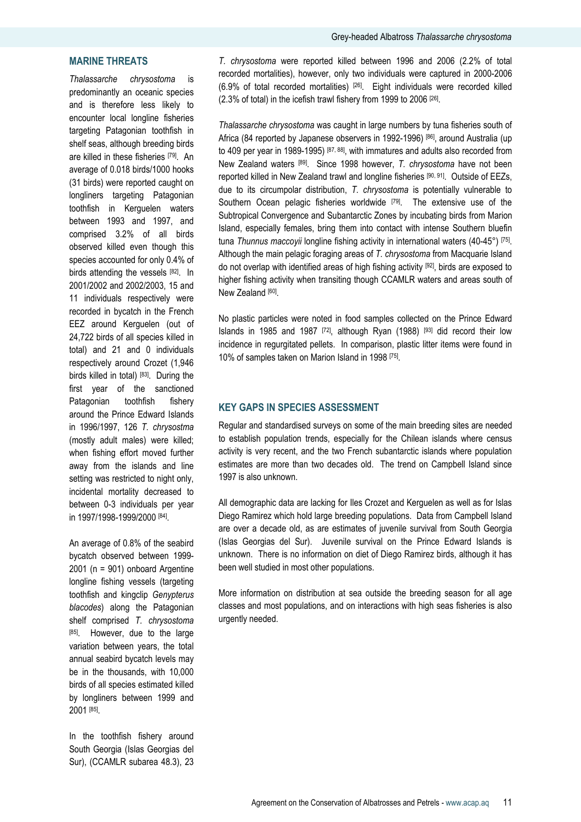# MARINE THREATS

Thalassarche chrysostoma is predominantly an oceanic species and is therefore less likely to encounter local longline fisheries targeting Patagonian toothfish in shelf seas, although breeding birds are killed in these fisheries [79]. An average of 0.018 birds/1000 hooks (31 birds) were reported caught on longliners targeting Patagonian toothfish in Kerguelen waters between 1993 and 1997, and comprised 3.2% of all birds observed killed even though this species accounted for only 0.4% of birds attending the vessels [82]. In 2001/2002 and 2002/2003, 15 and 11 individuals respectively were recorded in bycatch in the French EEZ around Kerguelen (out of 24,722 birds of all species killed in total) and 21 and 0 individuals respectively around Crozet (1,946 birds killed in total) [83]. During the first year of the sanctioned Patagonian toothfish fishery around the Prince Edward Islands in 1996/1997, 126 T. chrysostma (mostly adult males) were killed; when fishing effort moved further away from the islands and line setting was restricted to night only, incidental mortality decreased to between 0-3 individuals per year in 1997/1998-1999/2000 [84] .

An average of 0.8% of the seabird bycatch observed between 1999- 2001 (n = 901) onboard Argentine longline fishing vessels (targeting toothfish and kingclip Genypterus blacodes) along the Patagonian shelf comprised T. chrysostoma [85]. However, due to the large variation between years, the total annual seabird bycatch levels may be in the thousands, with 10,000 birds of all species estimated killed by longliners between 1999 and 2001 <sup>[85]</sup>.

In the toothfish fishery around South Georgia (Islas Georgias del Sur), (CCAMLR subarea 48.3), 23

T. chrysostoma were reported killed between 1996 and 2006 (2.2% of total recorded mortalities), however, only two individuals were captured in 2000-2006  $(6.9\%$  of total recorded mortalities)  $[26]$ . Eight individuals were recorded killed (2.3% of total) in the icefish trawl fishery from 1999 to 2006 [26] .

Thalassarche chrysostoma was caught in large numbers by tuna fisheries south of Africa (84 reported by Japanese observers in 1992-1996) [86], around Australia (up to 409 per year in 1989-1995) [87, 88], with immatures and adults also recorded from New Zealand waters [89]. Since 1998 however, T. chrysostoma have not been reported killed in New Zealand trawl and longline fisheries [90, 91]. Outside of EEZs, due to its circumpolar distribution, T. chrysostoma is potentially vulnerable to Southern Ocean pelagic fisheries worldwide [79]. The extensive use of the Subtropical Convergence and Subantarctic Zones by incubating birds from Marion Island, especially females, bring them into contact with intense Southern bluefin tuna Thunnus maccoyii longline fishing activity in international waters (40-45°) [75]. Although the main pelagic foraging areas of T. chrysostoma from Macquarie Island do not overlap with identified areas of high fishing activity [92], birds are exposed to higher fishing activity when transiting though CCAMLR waters and areas south of New Zealand [60].

No plastic particles were noted in food samples collected on the Prince Edward Islands in 1985 and 1987  $[72]$ , although Ryan (1988)  $[93]$  did record their low incidence in regurgitated pellets. In comparison, plastic litter items were found in 10% of samples taken on Marion Island in 1998 [75] .

# KEY GAPS IN SPECIES ASSESSMENT

Regular and standardised surveys on some of the main breeding sites are needed to establish population trends, especially for the Chilean islands where census activity is very recent, and the two French subantarctic islands where population estimates are more than two decades old. The trend on Campbell Island since 1997 is also unknown.

All demographic data are lacking for Iles Crozet and Kerguelen as well as for Islas Diego Ramirez which hold large breeding populations. Data from Campbell Island are over a decade old, as are estimates of juvenile survival from South Georgia (Islas Georgias del Sur). Juvenile survival on the Prince Edward Islands is unknown. There is no information on diet of Diego Ramirez birds, although it has been well studied in most other populations.

More information on distribution at sea outside the breeding season for all age classes and most populations, and on interactions with high seas fisheries is also urgently needed.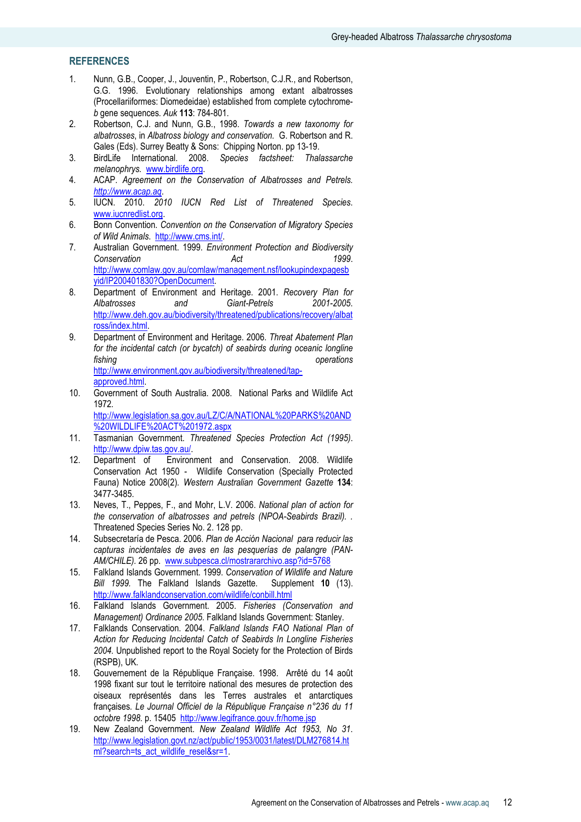# **REFERENCES**

- 1. Nunn, G.B., Cooper, J., Jouventin, P., Robertson, C.J.R., and Robertson, G.G. 1996. Evolutionary relationships among extant albatrosses (Procellariiformes: Diomedeidae) established from complete cytochromeb gene sequences. Auk 113: 784-801.
- 2. Robertson, C.J. and Nunn, G.B., 1998. Towards a new taxonomy for albatrosses, in Albatross biology and conservation. G. Robertson and R. Gales (Eds). Surrey Beatty & Sons: Chipping Norton. pp 13-19.
- 3. BirdLife International. 2008. Species factsheet: Thalassarche melanophrys. www.birdlife.org.
- 4. ACAP. Agreement on the Conservation of Albatrosses and Petrels. http://www.acap.aq.
- 5. IUCN. 2010. 2010 IUCN Red List of Threatened Species. www.iucnredlist.org.
- 6. Bonn Convention. Convention on the Conservation of Migratory Species of Wild Animals. http://www.cms.int/.
- 7. Australian Government. 1999. Environment Protection and Biodiversity Conservation **Act** 1999. http://www.comlaw.gov.au/comlaw/management.nsf/lookupindexpagesb yid/IP200401830?OpenDocument.
- 8. Department of Environment and Heritage. 2001. Recovery Plan for Albatrosses and Giant-Petrels 2001-2005. http://www.deh.gov.au/biodiversity/threatened/publications/recovery/albat ross/index.html.
- 9. Department of Environment and Heritage. 2006. Threat Abatement Plan for the incidental catch (or bycatch) of seabirds during oceanic longline fishing the state of the state of the state of the state of the state of the state of the state of the state of the state of the state of the state of the state of the state of the state of the state of the state of the st http://www.environment.gov.au/biodiversity/threatened/tapapproved.html.
- 10. Government of South Australia. 2008. National Parks and Wildlife Act 1972. http://www.legislation.sa.gov.au/LZ/C/A/NATIONAL%20PARKS%20AND

%20WILDLIFE%20ACT%201972.aspx

- 11. Tasmanian Government. Threatened Species Protection Act (1995). http://www.dpiw.tas.gov.au/.
- 12. Department of Environment and Conservation. 2008. Wildlife Conservation Act 1950 - Wildlife Conservation (Specially Protected Fauna) Notice 2008(2). Western Australian Government Gazette 134: 3477-3485.
- 13. Neves, T., Peppes, F., and Mohr, L.V. 2006. National plan of action for the conservation of albatrosses and petrels (NPOA-Seabirds Brazil). . Threatened Species Series No. 2. 128 pp.
- 14. Subsecretaría de Pesca. 2006. Plan de Acción Nacional para reducir las capturas incidentales de aves en las pesquerías de palangre (PAN-AM/CHILE). 26 pp. www.subpesca.cl/mostrararchivo.asp?id=5768
- 15. Falkland Islands Government. 1999. Conservation of Wildlife and Nature Bill 1999. The Falkland Islands Gazette. Supplement 10 (13). http://www.falklandconservation.com/wildlife/conbill.html
- 16. Falkland Islands Government. 2005. Fisheries (Conservation and Management) Ordinance 2005. Falkland Islands Government: Stanley.
- 17. Falklands Conservation. 2004. Falkland Islands FAO National Plan of Action for Reducing Incidental Catch of Seabirds In Longline Fisheries 2004. Unpublished report to the Royal Society for the Protection of Birds (RSPB), UK.
- 18. Gouvernement de la République Française. 1998. Arrêté du 14 août 1998 fixant sur tout le territoire national des mesures de protection des oiseaux représentés dans les Terres australes et antarctiques françaises. Le Journal Officiel de la République Française n°236 du 11 octobre 1998. p. 15405 http://www.legifrance.gouv.fr/home.jsp
- 19. New Zealand Government. New Zealand Wildlife Act 1953, No 31. http://www.legislation.govt.nz/act/public/1953/0031/latest/DLM276814.ht ml?search=ts\_act\_wildlife\_resel&sr=1.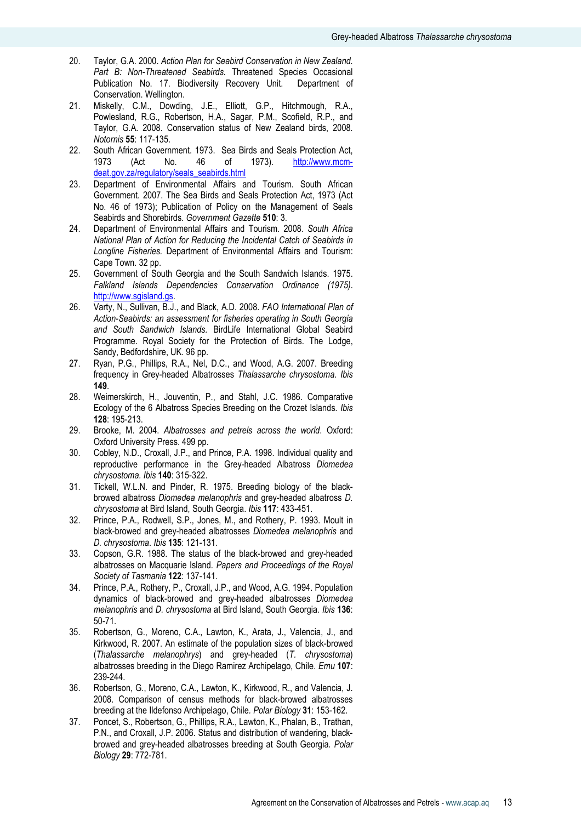- 20. Taylor, G.A. 2000. Action Plan for Seabird Conservation in New Zealand. Part B: Non-Threatened Seabirds. Threatened Species Occasional Publication No. 17. Biodiversity Recovery Unit. Department of Conservation. Wellington.
- 21. Miskelly, C.M., Dowding, J.E., Elliott, G.P., Hitchmough, R.A., Powlesland, R.G., Robertson, H.A., Sagar, P.M., Scofield, R.P., and Taylor, G.A. 2008. Conservation status of New Zealand birds, 2008. Notornis 55: 117-135.
- 22. South African Government. 1973. Sea Birds and Seals Protection Act, 1973 (Act No. 46 of 1973). http://www.mcmdeat.gov.za/regulatory/seals\_seabirds.html
- 23. Department of Environmental Affairs and Tourism. South African Government. 2007. The Sea Birds and Seals Protection Act, 1973 (Act No. 46 of 1973); Publication of Policy on the Management of Seals Seabirds and Shorebirds. Government Gazette 510: 3.
- 24. Department of Environmental Affairs and Tourism. 2008. South Africa National Plan of Action for Reducing the Incidental Catch of Seabirds in Longline Fisheries. Department of Environmental Affairs and Tourism: Cape Town. 32 pp.
- 25. Government of South Georgia and the South Sandwich Islands. 1975. Falkland Islands Dependencies Conservation Ordinance (1975). http://www.sgisland.gs.
- 26. Varty, N., Sullivan, B.J., and Black, A.D. 2008. FAO International Plan of Action-Seabirds: an assessment for fisheries operating in South Georgia and South Sandwich Islands. BirdLife International Global Seabird Programme. Royal Society for the Protection of Birds. The Lodge, Sandy, Bedfordshire, UK. 96 pp.
- 27. Ryan, P.G., Phillips, R.A., Nel, D.C., and Wood, A.G. 2007. Breeding frequency in Grey-headed Albatrosses Thalassarche chrysostoma. Ibis 149.
- 28. Weimerskirch, H., Jouventin, P., and Stahl, J.C. 1986. Comparative Ecology of the 6 Albatross Species Breeding on the Crozet Islands. Ibis 128: 195-213.
- 29. Brooke, M. 2004. Albatrosses and petrels across the world. Oxford: Oxford University Press. 499 pp.
- 30. Cobley, N.D., Croxall, J.P., and Prince, P.A. 1998. Individual quality and reproductive performance in the Grey-headed Albatross Diomedea chrysostoma. Ibis 140: 315-322.
- 31. Tickell, W.L.N. and Pinder, R. 1975. Breeding biology of the blackbrowed albatross Diomedea melanophris and grey-headed albatross D. chrysostoma at Bird Island, South Georgia. Ibis 117: 433-451.
- 32. Prince, P.A., Rodwell, S.P., Jones, M., and Rothery, P. 1993. Moult in black-browed and grey-headed albatrosses Diomedea melanophris and D. chrysostoma. Ibis 135: 121-131.
- 33. Copson, G.R. 1988. The status of the black-browed and grey-headed albatrosses on Macquarie Island. Papers and Proceedings of the Royal Society of Tasmania 122: 137-141.
- 34. Prince, P.A., Rothery, P., Croxall, J.P., and Wood, A.G. 1994. Population dynamics of black-browed and grey-headed albatrosses Diomedea melanophris and D. chrysostoma at Bird Island, South Georgia. Ibis 136: 50-71.
- 35. Robertson, G., Moreno, C.A., Lawton, K., Arata, J., Valencia, J., and Kirkwood, R. 2007. An estimate of the population sizes of black-browed (Thalassarche melanophrys) and grey-headed (T. chrysostoma) albatrosses breeding in the Diego Ramirez Archipelago, Chile. Emu 107: 239-244.
- 36. Robertson, G., Moreno, C.A., Lawton, K., Kirkwood, R., and Valencia, J. 2008. Comparison of census methods for black-browed albatrosses breeding at the Ildefonso Archipelago, Chile. Polar Biology 31: 153-162.
- 37. Poncet, S., Robertson, G., Phillips, R.A., Lawton, K., Phalan, B., Trathan, P.N., and Croxall, J.P. 2006. Status and distribution of wandering, blackbrowed and grey-headed albatrosses breeding at South Georgia. Polar Biology 29: 772-781.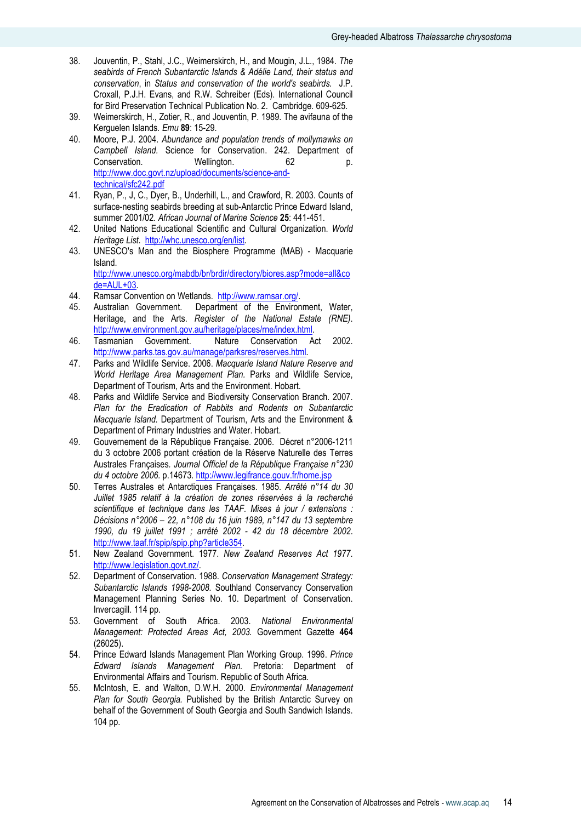- 38. Jouventin, P., Stahl, J.C., Weimerskirch, H., and Mougin, J.L., 1984. The seabirds of French Subantarctic Islands & Adélie Land, their status and conservation, in Status and conservation of the world's seabirds. J.P. Croxall, P.J.H. Evans, and R.W. Schreiber (Eds). International Council for Bird Preservation Technical Publication No. 2. Cambridge. 609-625.
- 39. Weimerskirch, H., Zotier, R., and Jouventin, P. 1989. The avifauna of the Kerguelen Islands. Emu 89: 15-29.
- 40. Moore, P.J. 2004. Abundance and population trends of mollymawks on Campbell Island. Science for Conservation. 242. Department of Conservation. 62 p. Conservation. Wellington. 62 p. http://www.doc.govt.nz/upload/documents/science-andtechnical/sfc242.pdf
- 41. Ryan, P., J, C., Dyer, B., Underhill, L., and Crawford, R. 2003. Counts of surface-nesting seabirds breeding at sub-Antarctic Prince Edward Island, summer 2001/02. African Journal of Marine Science 25: 441-451.
- 42. United Nations Educational Scientific and Cultural Organization. World Heritage List. http://whc.unesco.org/en/list.
- 43. UNESCO's Man and the Biosphere Programme (MAB) Macquarie Island. http://www.unesco.org/mabdb/br/brdir/directory/biores.asp?mode=all&co

de=AUL+03.

- 44. Ramsar Convention on Wetlands. http://www.ramsar.org/.
- 45. Australian Government. Department of the Environment, Water, Heritage, and the Arts. Register of the National Estate (RNE). http://www.environment.gov.au/heritage/places/rne/index.html.
- 46. Tasmanian Government. Nature Conservation Act 2002. http://www.parks.tas.gov.au/manage/parksres/reserves.html.
- 47. Parks and Wildlife Service. 2006. Macquarie Island Nature Reserve and World Heritage Area Management Plan. Parks and Wildlife Service, Department of Tourism, Arts and the Environment. Hobart.
- 48. Parks and Wildlife Service and Biodiversity Conservation Branch. 2007. Plan for the Eradication of Rabbits and Rodents on Subantarctic Macquarie Island. Department of Tourism, Arts and the Environment & Department of Primary Industries and Water. Hobart.
- 49. Gouvernement de la République Française. 2006. Décret n°2006-1211 du 3 octobre 2006 portant création de la Réserve Naturelle des Terres Australes Françaises. Journal Officiel de la République Française n°230 du 4 octobre 2006. p.14673. http://www.legifrance.gouv.fr/home.jsp
- 50. Terres Australes et Antarctiques Françaises. 1985. Arrêté n°14 du 30 Juillet 1985 relatif à la création de zones réservées à la recherché scientifique et technique dans les TAAF. Mises à jour / extensions : Décisions n°2006 – 22, n°108 du 16 juin 1989, n°147 du 13 septembre 1990, du 19 juillet 1991 ; arrêté 2002 - 42 du 18 décembre 2002. http://www.taaf.fr/spip/spip.php?article354.
- 51. New Zealand Government. 1977. New Zealand Reserves Act 1977. http://www.legislation.govt.nz/.
- 52. Department of Conservation. 1988. Conservation Management Strategy: Subantarctic Islands 1998-2008. Southland Conservancy Conservation Management Planning Series No. 10. Department of Conservation. Invercagill. 114 pp.
- 53. Government of South Africa. 2003. National Environmental Management: Protected Areas Act, 2003. Government Gazette 464 (26025).
- 54. Prince Edward Islands Management Plan Working Group. 1996. Prince Edward Islands Management Plan. Pretoria: Department of Environmental Affairs and Tourism. Republic of South Africa.
- 55. McIntosh, E. and Walton, D.W.H. 2000. Environmental Management Plan for South Georgia. Published by the British Antarctic Survey on behalf of the Government of South Georgia and South Sandwich Islands. 104 pp.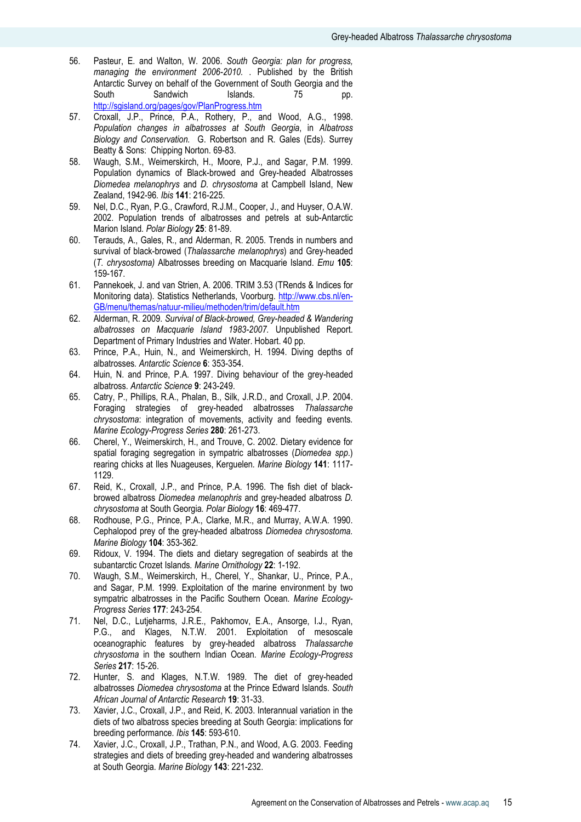- 56. Pasteur, E. and Walton, W. 2006. South Georgia: plan for progress, managing the environment 2006-2010. . Published by the British Antarctic Survey on behalf of the Government of South Georgia and the South Sandwich Islands. 75 pp. http://sgisland.org/pages/gov/PlanProgress.htm
- 57. Croxall, J.P., Prince, P.A., Rothery, P., and Wood, A.G., 1998. Population changes in albatrosses at South Georgia, in Albatross Biology and Conservation. G. Robertson and R. Gales (Eds). Surrey Beatty & Sons: Chipping Norton. 69-83.
- 58. Waugh, S.M., Weimerskirch, H., Moore, P.J., and Sagar, P.M. 1999. Population dynamics of Black-browed and Grey-headed Albatrosses Diomedea melanophrys and D. chrysostoma at Campbell Island, New Zealand, 1942-96. Ibis 141: 216-225.
- 59. Nel, D.C., Ryan, P.G., Crawford, R.J.M., Cooper, J., and Huyser, O.A.W. 2002. Population trends of albatrosses and petrels at sub-Antarctic Marion Island. Polar Biology 25: 81-89.
- 60. Terauds, A., Gales, R., and Alderman, R. 2005. Trends in numbers and survival of black-browed (Thalassarche melanophrys) and Grey-headed (T. chrysostoma) Albatrosses breeding on Macquarie Island. Emu 105: 159-167.
- 61. Pannekoek, J. and van Strien, A. 2006. TRIM 3.53 (TRends & Indices for Monitoring data). Statistics Netherlands, Voorburg. http://www.cbs.nl/en-GB/menu/themas/natuur-milieu/methoden/trim/default.htm
- 62. Alderman, R. 2009. Survival of Black-browed, Grey-headed & Wandering albatrosses on Macquarie Island 1983-2007. Unpublished Report. Department of Primary Industries and Water. Hobart. 40 pp.
- 63. Prince, P.A., Huin, N., and Weimerskirch, H. 1994. Diving depths of albatrosses. Antarctic Science 6: 353-354.
- 64. Huin, N. and Prince, P.A. 1997. Diving behaviour of the grey-headed albatross. Antarctic Science 9: 243-249.
- 65. Catry, P., Phillips, R.A., Phalan, B., Silk, J.R.D., and Croxall, J.P. 2004. Foraging strategies of grey-headed albatrosses Thalassarche chrysostoma: integration of movements, activity and feeding events. Marine Ecology-Progress Series 280: 261-273.
- 66. Cherel, Y., Weimerskirch, H., and Trouve, C. 2002. Dietary evidence for spatial foraging segregation in sympatric albatrosses (Diomedea spp.) rearing chicks at Iles Nuageuses, Kerguelen. Marine Biology 141: 1117- 1129.
- 67. Reid, K., Croxall, J.P., and Prince, P.A. 1996. The fish diet of blackbrowed albatross Diomedea melanophris and grey-headed albatross D. chrysostoma at South Georgia. Polar Biology 16: 469-477.
- 68. Rodhouse, P.G., Prince, P.A., Clarke, M.R., and Murray, A.W.A. 1990. Cephalopod prey of the grey-headed albatross Diomedea chrysostoma. Marine Biology 104: 353-362.
- 69. Ridoux, V. 1994. The diets and dietary segregation of seabirds at the subantarctic Crozet Islands. Marine Ornithology 22: 1-192.
- 70. Waugh, S.M., Weimerskirch, H., Cherel, Y., Shankar, U., Prince, P.A., and Sagar, P.M. 1999. Exploitation of the marine environment by two sympatric albatrosses in the Pacific Southern Ocean. Marine Ecology-Progress Series 177: 243-254.
- 71. Nel, D.C., Lutjeharms, J.R.E., Pakhomov, E.A., Ansorge, I.J., Ryan, P.G., and Klages, N.T.W. 2001. Exploitation of mesoscale oceanographic features by grey-headed albatross Thalassarche chrysostoma in the southern Indian Ocean. Marine Ecology-Progress Series 217: 15-26.
- 72. Hunter, S. and Klages, N.T.W. 1989. The diet of grey-headed albatrosses Diomedea chrysostoma at the Prince Edward Islands. South African Journal of Antarctic Research 19: 31-33.
- 73. Xavier, J.C., Croxall, J.P., and Reid, K. 2003. Interannual variation in the diets of two albatross species breeding at South Georgia: implications for breeding performance. Ibis 145: 593-610.
- 74. Xavier, J.C., Croxall, J.P., Trathan, P.N., and Wood, A.G. 2003. Feeding strategies and diets of breeding grey-headed and wandering albatrosses at South Georgia. Marine Biology 143: 221-232.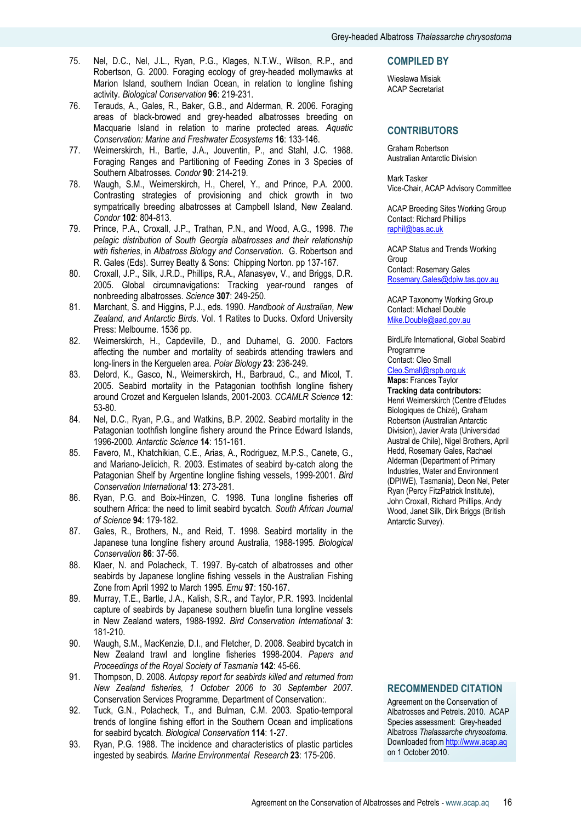- 75. Nel, D.C., Nel, J.L., Ryan, P.G., Klages, N.T.W., Wilson, R.P., and Robertson, G. 2000. Foraging ecology of grey-headed mollymawks at Marion Island, southern Indian Ocean, in relation to longline fishing activity. Biological Conservation 96: 219-231.
- 76. Terauds, A., Gales, R., Baker, G.B., and Alderman, R. 2006. Foraging areas of black-browed and grey-headed albatrosses breeding on Macquarie Island in relation to marine protected areas. Aquatic Conservation: Marine and Freshwater Ecosystems 16: 133-146.
- 77. Weimerskirch, H., Bartle, J.A., Jouventin, P., and Stahl, J.C. 1988. Foraging Ranges and Partitioning of Feeding Zones in 3 Species of Southern Albatrosses. Condor 90: 214-219.
- 78. Waugh, S.M., Weimerskirch, H., Cherel, Y., and Prince, P.A. 2000. Contrasting strategies of provisioning and chick growth in two sympatrically breeding albatrosses at Campbell Island, New Zealand. Condor 102: 804-813.
- 79. Prince, P.A., Croxall, J.P., Trathan, P.N., and Wood, A.G., 1998. The pelagic distribution of South Georgia albatrosses and their relationship with fisheries, in Albatross Biology and Conservation. G. Robertson and R. Gales (Eds). Surrey Beatty & Sons: Chipping Norton. pp 137-167.
- 80. Croxall, J.P., Silk, J.R.D., Phillips, R.A., Afanasyev, V., and Briggs, D.R. 2005. Global circumnavigations: Tracking year-round ranges of nonbreeding albatrosses. Science 307: 249-250.
- 81. Marchant, S. and Higgins, P.J., eds. 1990. Handbook of Australian, New Zealand, and Antarctic Birds. Vol. 1 Ratites to Ducks. Oxford University Press: Melbourne. 1536 pp.
- 82. Weimerskirch, H., Capdeville, D., and Duhamel, G. 2000. Factors affecting the number and mortality of seabirds attending trawlers and long-liners in the Kerguelen area. Polar Biology 23: 236-249.
- 83. Delord, K., Gasco, N., Weimerskirch, H., Barbraud, C., and Micol, T. 2005. Seabird mortality in the Patagonian toothfish longline fishery around Crozet and Kerguelen Islands, 2001-2003. CCAMLR Science 12: 53-80.
- 84. Nel, D.C., Ryan, P.G., and Watkins, B.P. 2002. Seabird mortality in the Patagonian toothfish longline fishery around the Prince Edward Islands, 1996-2000. Antarctic Science 14: 151-161.
- 85. Favero, M., Khatchikian, C.E., Arias, A., Rodriguez, M.P.S., Canete, G., and Mariano-Jelicich, R. 2003. Estimates of seabird by-catch along the Patagonian Shelf by Argentine longline fishing vessels, 1999-2001. Bird Conservation International 13: 273-281.
- 86. Ryan, P.G. and Boix-Hinzen, C. 1998. Tuna longline fisheries off southern Africa: the need to limit seabird bycatch. South African Journal of Science 94: 179-182.
- 87. Gales, R., Brothers, N., and Reid, T. 1998. Seabird mortality in the Japanese tuna longline fishery around Australia, 1988-1995. Biological Conservation 86: 37-56.
- 88. Klaer, N. and Polacheck, T. 1997. By-catch of albatrosses and other seabirds by Japanese longline fishing vessels in the Australian Fishing Zone from April 1992 to March 1995. Emu 97: 150-167.
- 89. Murray, T.E., Bartle, J.A., Kalish, S.R., and Taylor, P.R. 1993. Incidental capture of seabirds by Japanese southern bluefin tuna longline vessels in New Zealand waters, 1988-1992. Bird Conservation International 3: 181-210.
- 90. Waugh, S.M., MacKenzie, D.I., and Fletcher, D. 2008. Seabird bycatch in New Zealand trawl and longline fisheries 1998-2004. Papers and Proceedings of the Royal Society of Tasmania 142: 45-66.
- 91. Thompson, D. 2008. Autopsy report for seabirds killed and returned from New Zealand fisheries, 1 October 2006 to 30 September 2007. Conservation Services Programme, Department of Conservation:.
- 92. Tuck, G.N., Polacheck, T., and Bulman, C.M. 2003. Spatio-temporal trends of longline fishing effort in the Southern Ocean and implications for seabird bycatch. Biological Conservation 114: 1-27.
- 93. Ryan, P.G. 1988. The incidence and characteristics of plastic particles ingested by seabirds. Marine Environmental Research 23: 175-206.

#### COMPILED BY

Wiesława Misiak ACAP Secretariat

# **CONTRIBUTORS**

Graham Robertson Australian Antarctic Division

Mark Tasker Vice-Chair, ACAP Advisory Committee

ACAP Breeding Sites Working Group Contact: Richard Phillips raphil@bas.ac.uk

ACAP Status and Trends Working Group Contact: Rosemary Gales Rosemary.Gales@dpiw.tas.gov.au

ACAP Taxonomy Working Group Contact: Michael Double Mike.Double@aad.gov.au

BirdLife International, Global Seabird Programme Contact: Cleo Small

Cleo.Small@rspb.org.uk

Maps: Frances Taylor Tracking data contributors: Henri Weimerskirch (Centre d'Etudes Biologiques de Chizé), Graham Robertson (Australian Antarctic Division), Javier Arata (Universidad Austral de Chile), Nigel Brothers, April Hedd, Rosemary Gales, Rachael Alderman (Department of Primary Industries, Water and Environment (DPIWE), Tasmania), Deon Nel, Peter Ryan (Percy FitzPatrick Institute), John Croxall, Richard Phillips, Andy Wood, Janet Silk, Dirk Briggs (British Antarctic Survey).

# RECOMMENDED CITATION

Agreement on the Conservation of Albatrosses and Petrels. 2010. ACAP Species assessment: Grey-headed Albatross Thalassarche chrysostoma. Downloaded from http://www.acap.aq on 1 October 2010.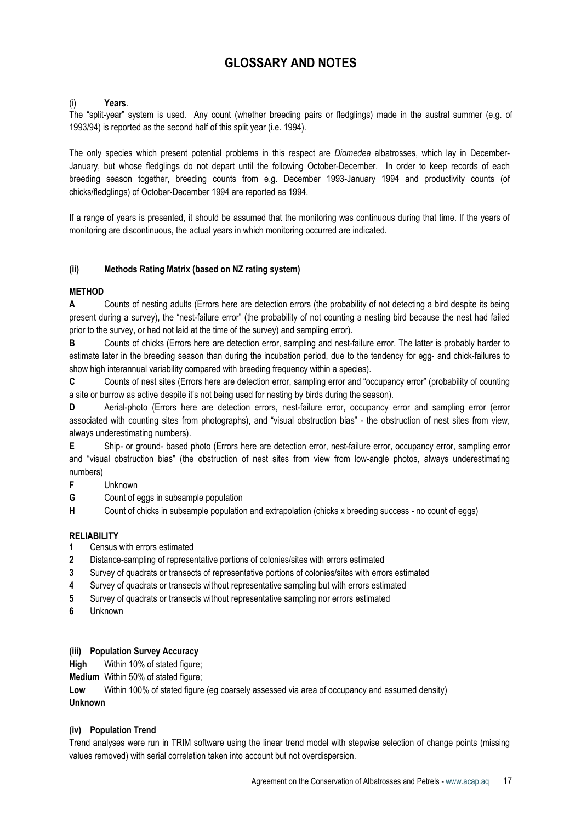# GLOSSARY AND NOTES

# Years.

The "split-year" system is used. Any count (whether breeding pairs or fledglings) made in the austral summer (e.g. of 1993/94) is reported as the second half of this split year (i.e. 1994).

The only species which present potential problems in this respect are *Diomedea* albatrosses, which lay in December-January, but whose fledglings do not depart until the following October-December. In order to keep records of each breeding season together, breeding counts from e.g. December 1993-January 1994 and productivity counts (of chicks/fledglings) of October-December 1994 are reported as 1994.

If a range of years is presented, it should be assumed that the monitoring was continuous during that time. If the years of monitoring are discontinuous, the actual years in which monitoring occurred are indicated.

# (ii) Methods Rating Matrix (based on NZ rating system)

# **MFTHOD**

A Counts of nesting adults (Errors here are detection errors (the probability of not detecting a bird despite its being present during a survey), the "nest-failure error" (the probability of not counting a nesting bird because the nest had failed prior to the survey, or had not laid at the time of the survey) and sampling error).

B Counts of chicks (Errors here are detection error, sampling and nest-failure error. The latter is probably harder to estimate later in the breeding season than during the incubation period, due to the tendency for egg- and chick-failures to show high interannual variability compared with breeding frequency within a species).

C Counts of nest sites (Errors here are detection error, sampling error and "occupancy error" (probability of counting a site or burrow as active despite it's not being used for nesting by birds during the season).

D Aerial-photo (Errors here are detection errors, nest-failure error, occupancy error and sampling error (error associated with counting sites from photographs), and "visual obstruction bias" - the obstruction of nest sites from view, always underestimating numbers).

E Ship- or ground- based photo (Errors here are detection error, nest-failure error, occupancy error, sampling error and "visual obstruction bias" (the obstruction of nest sites from view from low-angle photos, always underestimating numbers)

- F Unknown
- G Count of eggs in subsample population
- H Count of chicks in subsample population and extrapolation (chicks x breeding success no count of eggs)

# **RELIABILITY**

- 1 Census with errors estimated
- 2 Distance-sampling of representative portions of colonies/sites with errors estimated
- 3 Survey of quadrats or transects of representative portions of colonies/sites with errors estimated
- 4 Survey of quadrats or transects without representative sampling but with errors estimated
- 5 Survey of quadrats or transects without representative sampling nor errors estimated
- 6 Unknown

#### (iii) Population Survey Accuracy

High Within 10% of stated figure;

Medium Within 50% of stated figure;

Low Within 100% of stated figure (eg coarsely assessed via area of occupancy and assumed density) Unknown

# (iv) Population Trend

Trend analyses were run in TRIM software using the linear trend model with stepwise selection of change points (missing values removed) with serial correlation taken into account but not overdispersion.